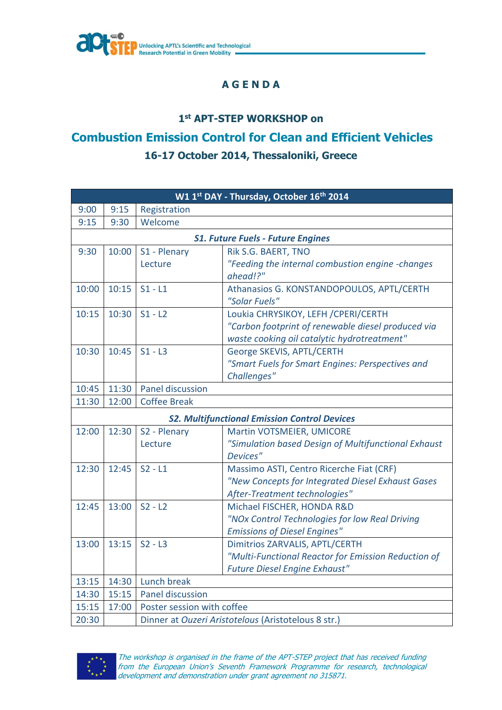

## **A G E N D A**

## **1 st APT-STEP WORKSHOP on**

## **Combustion Emission Control for Clean and Efficient Vehicles 16-17 October 2014, Thessaloniki, Greece**

| W1 1st DAY - Thursday, October 16th 2014            |       |                            |                                                              |  |
|-----------------------------------------------------|-------|----------------------------|--------------------------------------------------------------|--|
| 9:00                                                | 9:15  | Registration               |                                                              |  |
| 9:15                                                | 9:30  | Welcome                    |                                                              |  |
| <b>S1. Future Fuels - Future Engines</b>            |       |                            |                                                              |  |
| 9:30                                                | 10:00 | S1 - Plenary               | Rik S.G. BAERT, TNO                                          |  |
|                                                     |       | Lecture                    | "Feeding the internal combustion engine -changes<br>ahead!?" |  |
| 10:00                                               | 10:15 | $S1 - L1$                  | Athanasios G. KONSTANDOPOULOS, APTL/CERTH<br>"Solar Fuels"   |  |
| 10:15                                               | 10:30 | $S1 - L2$                  | Loukia CHRYSIKOY, LEFH / CPERI/CERTH                         |  |
|                                                     |       |                            | "Carbon footprint of renewable diesel produced via           |  |
|                                                     |       |                            | waste cooking oil catalytic hydrotreatment"                  |  |
| 10:30                                               | 10:45 | $S1 - L3$                  | George SKEVIS, APTL/CERTH                                    |  |
|                                                     |       |                            | "Smart Fuels for Smart Engines: Perspectives and             |  |
|                                                     |       |                            | Challenges"                                                  |  |
| 10:45                                               | 11:30 | Panel discussion           |                                                              |  |
| 11:30                                               | 12:00 | <b>Coffee Break</b>        |                                                              |  |
| <b>S2. Multifunctional Emission Control Devices</b> |       |                            |                                                              |  |
| 12:00                                               | 12:30 | S2 - Plenary               | Martin VOTSMEIER, UMICORE                                    |  |
|                                                     |       | Lecture                    | "Simulation based Design of Multifunctional Exhaust          |  |
|                                                     |       |                            | Devices"                                                     |  |
| 12:30                                               | 12:45 | $S2 - L1$                  | Massimo ASTI, Centro Ricerche Fiat (CRF)                     |  |
|                                                     |       |                            | "New Concepts for Integrated Diesel Exhaust Gases            |  |
|                                                     |       |                            | After-Treatment technologies"                                |  |
| 12:45                                               | 13:00 | $S2 - L2$                  | Michael FISCHER, HONDA R&D                                   |  |
|                                                     |       |                            | "NOx Control Technologies for low Real Driving               |  |
|                                                     |       |                            | <b>Emissions of Diesel Engines"</b>                          |  |
| 13:00                                               | 13:15 | $S2 - L3$                  | <b>Dimitrios ZARVALIS, APTL/CERTH</b>                        |  |
|                                                     |       |                            | "Multi-Functional Reactor for Emission Reduction of          |  |
|                                                     |       |                            | <b>Future Diesel Engine Exhaust"</b>                         |  |
| 13:15                                               |       | 14:30 Lunch break          |                                                              |  |
| 14:30                                               | 15:15 | Panel discussion           |                                                              |  |
| 15:15                                               | 17:00 | Poster session with coffee |                                                              |  |
| 20:30                                               |       |                            | Dinner at Ouzeri Aristotelous (Aristotelous 8 str.)          |  |